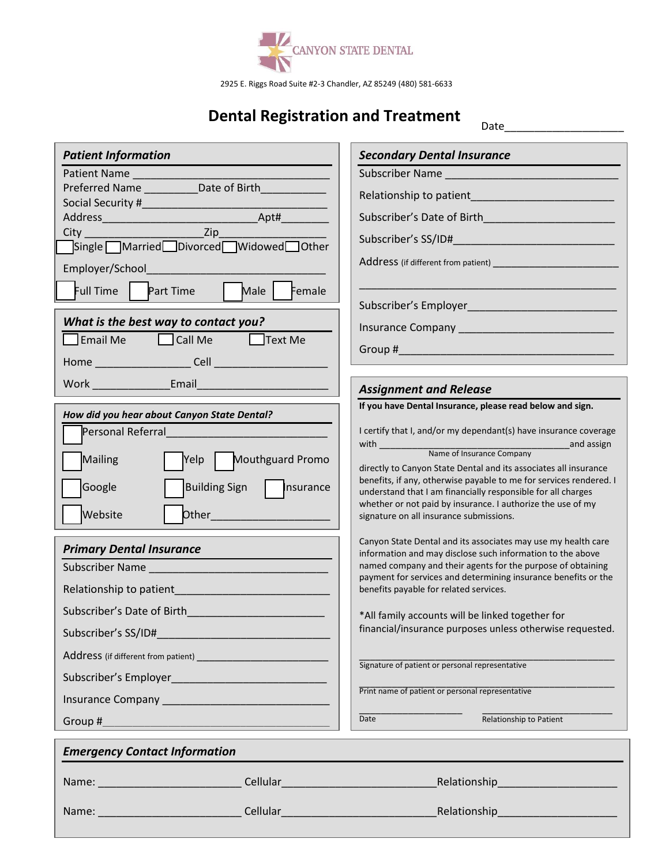

2925 E. Riggs Road Suite #2-3 Chandler, AZ 85249 (480) 581-6633

## **Dental Registration and Treatment**

Date\_\_\_\_\_\_\_\_\_\_\_\_\_\_\_\_\_\_\_\_

| <b>Patient Information</b>                                                                                                                                                                                                     |                                                                                                                                                                                                                               | <b>Secondary Dental Insurance</b>                                                                                                      |
|--------------------------------------------------------------------------------------------------------------------------------------------------------------------------------------------------------------------------------|-------------------------------------------------------------------------------------------------------------------------------------------------------------------------------------------------------------------------------|----------------------------------------------------------------------------------------------------------------------------------------|
| Patient Name                                                                                                                                                                                                                   |                                                                                                                                                                                                                               |                                                                                                                                        |
| Preferred Name ___________ Date of Birth _________                                                                                                                                                                             |                                                                                                                                                                                                                               |                                                                                                                                        |
|                                                                                                                                                                                                                                |                                                                                                                                                                                                                               | Subscriber's Date of Birth and the control of the control of the control of the control of the control of the                          |
| $\overline{zip}$<br>$City$ <sub>______</sub>                                                                                                                                                                                   |                                                                                                                                                                                                                               |                                                                                                                                        |
| Single Married Divorced Widowed Other                                                                                                                                                                                          |                                                                                                                                                                                                                               |                                                                                                                                        |
| Employer/School                                                                                                                                                                                                                |                                                                                                                                                                                                                               |                                                                                                                                        |
| Full Time<br><b>Part Time</b>                                                                                                                                                                                                  | Male  <br>Female                                                                                                                                                                                                              |                                                                                                                                        |
| What is the best way to contact you?                                                                                                                                                                                           |                                                                                                                                                                                                                               | Subscriber's Employer entertainment of the subscriber's Employer                                                                       |
| <b>Email Me</b><br><b>Ext Me</b> Text Me                                                                                                                                                                                       |                                                                                                                                                                                                                               |                                                                                                                                        |
| Home Cell Cell Contract Cell Contract Cell Contract Cell Contract Contract Cell Contract Contract Contract Contract Contract Contract Contract Contract Contract Contract Contract Contract Contract Contract Contract Contrac |                                                                                                                                                                                                                               | Group # 2000 Contract 2000 Contract 2000 Contract 2000 Contract 2000 Contract 2000 Contract 2000 Contract 200                          |
|                                                                                                                                                                                                                                |                                                                                                                                                                                                                               |                                                                                                                                        |
|                                                                                                                                                                                                                                |                                                                                                                                                                                                                               | <b>Assignment and Release</b>                                                                                                          |
| How did you hear about Canyon State Dental?                                                                                                                                                                                    |                                                                                                                                                                                                                               | If you have Dental Insurance, please read below and sign.                                                                              |
| <b>Personal Referral</b>                                                                                                                                                                                                       |                                                                                                                                                                                                                               | I certify that I, and/or my dependant(s) have insurance coverage                                                                       |
| <b>Mailing</b>                                                                                                                                                                                                                 | Yelp   Mouthguard Promo                                                                                                                                                                                                       |                                                                                                                                        |
|                                                                                                                                                                                                                                |                                                                                                                                                                                                                               | directly to Canyon State Dental and its associates all insurance<br>benefits, if any, otherwise payable to me for services rendered. I |
| <b>Building Sign</b><br>Google                                                                                                                                                                                                 | $\ $ Insurance                                                                                                                                                                                                                | understand that I am financially responsible for all charges                                                                           |
| Website                                                                                                                                                                                                                        |                                                                                                                                                                                                                               | whether or not paid by insurance. I authorize the use of my<br>signature on all insurance submissions.                                 |
|                                                                                                                                                                                                                                |                                                                                                                                                                                                                               |                                                                                                                                        |
| <b>Primary Dental Insurance</b>                                                                                                                                                                                                |                                                                                                                                                                                                                               | Canyon State Dental and its associates may use my health care<br>information and may disclose such information to the above            |
|                                                                                                                                                                                                                                |                                                                                                                                                                                                                               | named company and their agents for the purpose of obtaining                                                                            |
|                                                                                                                                                                                                                                |                                                                                                                                                                                                                               | payment for services and determining insurance benefits or the<br>benefits payable for related services.                               |
| Subscriber's Date of Birth                                                                                                                                                                                                     |                                                                                                                                                                                                                               |                                                                                                                                        |
| Subscriber's SS/ID#                                                                                                                                                                                                            | <u> 1989 - Johann Barn, mars an t-Amerikaansk kommunister (</u>                                                                                                                                                               | *All family accounts will be linked together for<br>financial/insurance purposes unless otherwise requested.                           |
|                                                                                                                                                                                                                                |                                                                                                                                                                                                                               |                                                                                                                                        |
|                                                                                                                                                                                                                                |                                                                                                                                                                                                                               | Signature of patient or personal representative                                                                                        |
|                                                                                                                                                                                                                                |                                                                                                                                                                                                                               | Print name of patient or personal representative                                                                                       |
| Insurance Company <b>Access 2018</b> The United States and Company                                                                                                                                                             |                                                                                                                                                                                                                               |                                                                                                                                        |
| Group #                                                                                                                                                                                                                        |                                                                                                                                                                                                                               | Date<br>Relationship to Patient                                                                                                        |
| <b>Emergency Contact Information</b>                                                                                                                                                                                           |                                                                                                                                                                                                                               |                                                                                                                                        |
|                                                                                                                                                                                                                                | Cellular en anglicitud and the control of the control of the control of the control of the control of the control of the control of the control of the control of the control of the control of the control of the control of | Relationship Relationship                                                                                                              |
| Name:                                                                                                                                                                                                                          | Cellular <b>Collular Cellular Collular Collular</b>                                                                                                                                                                           | Relationship Relationship                                                                                                              |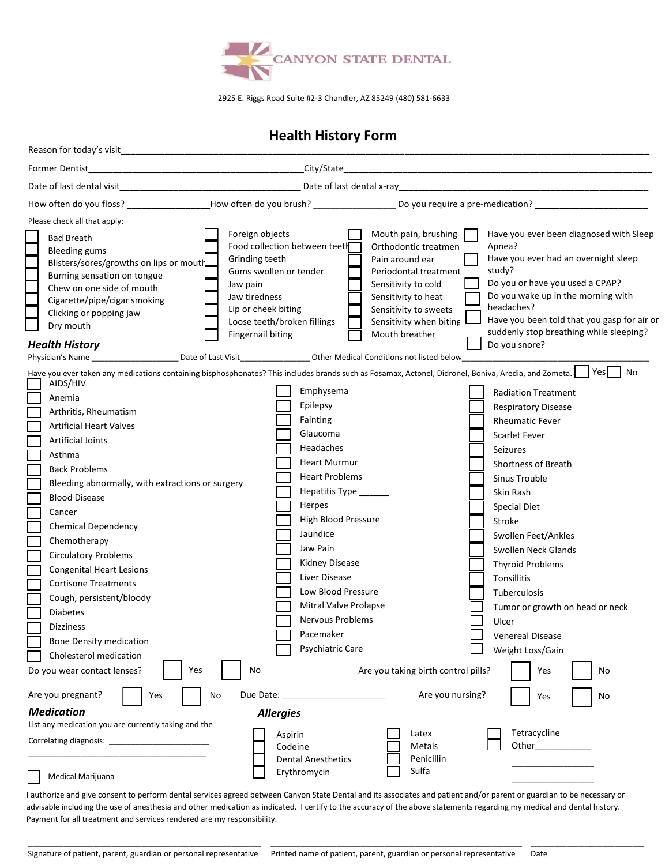

2925 E. Riggs Road Suite #2-3 Chandler, AZ 85249 (480) 581-6633

### **Health History Form**

| Reason for today's visit                                                                                                                                                                                                                                                                                                                                                                                                                                                                                                                                                                                                                                                                                          |                                                                                                                                                                                                                                                                                                                                           |                                                                                                                                                                                                              |                                                                                                                                                                                                                                                                                                                                                                                                                                           |
|-------------------------------------------------------------------------------------------------------------------------------------------------------------------------------------------------------------------------------------------------------------------------------------------------------------------------------------------------------------------------------------------------------------------------------------------------------------------------------------------------------------------------------------------------------------------------------------------------------------------------------------------------------------------------------------------------------------------|-------------------------------------------------------------------------------------------------------------------------------------------------------------------------------------------------------------------------------------------------------------------------------------------------------------------------------------------|--------------------------------------------------------------------------------------------------------------------------------------------------------------------------------------------------------------|-------------------------------------------------------------------------------------------------------------------------------------------------------------------------------------------------------------------------------------------------------------------------------------------------------------------------------------------------------------------------------------------------------------------------------------------|
| Former Dentist                                                                                                                                                                                                                                                                                                                                                                                                                                                                                                                                                                                                                                                                                                    | City/State                                                                                                                                                                                                                                                                                                                                |                                                                                                                                                                                                              |                                                                                                                                                                                                                                                                                                                                                                                                                                           |
|                                                                                                                                                                                                                                                                                                                                                                                                                                                                                                                                                                                                                                                                                                                   |                                                                                                                                                                                                                                                                                                                                           |                                                                                                                                                                                                              |                                                                                                                                                                                                                                                                                                                                                                                                                                           |
|                                                                                                                                                                                                                                                                                                                                                                                                                                                                                                                                                                                                                                                                                                                   | How often do you floss? _____________________How often do you brush? ______________________Do you require a pre-medication?                                                                                                                                                                                                               |                                                                                                                                                                                                              |                                                                                                                                                                                                                                                                                                                                                                                                                                           |
| Please check all that apply:                                                                                                                                                                                                                                                                                                                                                                                                                                                                                                                                                                                                                                                                                      |                                                                                                                                                                                                                                                                                                                                           |                                                                                                                                                                                                              |                                                                                                                                                                                                                                                                                                                                                                                                                                           |
| <b>Bad Breath</b><br><b>Bleeding gums</b><br>Blisters/sores/growths on lips or mouth<br>Burning sensation on tongue<br>Chew on one side of mouth<br>Cigarette/pipe/cigar smoking<br>Clicking or popping jaw<br>Dry mouth<br><b>Health History</b>                                                                                                                                                                                                                                                                                                                                                                                                                                                                 | Foreign objects<br>Food collection between teeth<br>Grinding teeth<br>Gums swollen or tender<br>Jaw pain<br>Jaw tiredness<br>Lip or cheek biting<br>Loose teeth/broken fillings<br><b>Fingernail biting</b>                                                                                                                               | Mouth pain, brushing<br>Orthodontic treatmen<br>Pain around ear<br>Periodontal treatment<br>Sensitivity to cold<br>Sensitivity to heat<br>Sensitivity to sweets<br>Sensitivity when biting<br>Mouth breather | Have you ever been diagnosed with Sleep<br>Apnea?<br>Have you ever had an overnight sleep<br>study?<br>Do you or have you used a CPAP?<br>Do you wake up in the morning with<br>headaches?<br>Have you been told that you gasp for air or<br>suddenly stop breathing while sleeping?<br>Do you snore?                                                                                                                                     |
|                                                                                                                                                                                                                                                                                                                                                                                                                                                                                                                                                                                                                                                                                                                   |                                                                                                                                                                                                                                                                                                                                           |                                                                                                                                                                                                              |                                                                                                                                                                                                                                                                                                                                                                                                                                           |
| Have you ever taken any medications containing bisphosphonates? This includes brands such as Fosamax, Actonel, Didronel, Boniva, Aredia, and Zometa. Yes<br>AIDS/HIV<br>Anemia<br>Arthritis, Rheumatism<br><b>Artificial Heart Valves</b><br><b>Artificial Joints</b><br>Asthma<br><b>Back Problems</b><br>Bleeding abnormally, with extractions or surgery<br><b>Blood Disease</b><br>Cancer<br><b>Chemical Dependency</b><br>Chemotherapy<br><b>Circulatory Problems</b><br><b>Congenital Heart Lesions</b><br><b>Cortisone Treatments</b><br>Cough, persistent/bloody<br><b>Diabetes</b><br><b>Dizziness</b><br><b>Bone Density medication</b><br>Cholesterol medication<br>Yes<br>Do you wear contact lenses? | Emphysema<br>Epilepsy<br>Fainting<br>Glaucoma<br>Headaches<br><b>Heart Murmur</b><br><b>Heart Problems</b><br>Hepatitis Type<br>Herpes<br>High Blood Pressure<br>Jaundice<br>Jaw Pain<br><b>Kidney Disease</b><br>Liver Disease<br>Low Blood Pressure<br>Mitral Valve Prolapse<br>Nervous Problems<br>Pacemaker<br>Psychiatric Care<br>No | Are you taking birth control pills?                                                                                                                                                                          | No<br><b>Radiation Treatment</b><br><b>Respiratory Disease</b><br><b>Rheumatic Fever</b><br><b>Scarlet Fever</b><br>Seizures<br><b>Shortness of Breath</b><br>Sinus Trouble<br>Skin Rash<br><b>Special Diet</b><br>Stroke<br>Swollen Feet/Ankles<br>Swollen Neck Glands<br><b>Thyroid Problems</b><br>Tonsillitis<br>Tuberculosis<br>Tumor or growth on head or neck<br>Ulcer<br><b>Venereal Disease</b><br>Weight Loss/Gain<br>Yes<br>No |
|                                                                                                                                                                                                                                                                                                                                                                                                                                                                                                                                                                                                                                                                                                                   |                                                                                                                                                                                                                                                                                                                                           |                                                                                                                                                                                                              |                                                                                                                                                                                                                                                                                                                                                                                                                                           |
| Are you pregnant?<br>Yes                                                                                                                                                                                                                                                                                                                                                                                                                                                                                                                                                                                                                                                                                          | Due Date:<br>No                                                                                                                                                                                                                                                                                                                           | Are you nursing?                                                                                                                                                                                             | No<br>Yes                                                                                                                                                                                                                                                                                                                                                                                                                                 |
| <b>Medication</b><br>List any medication you are currently taking and the                                                                                                                                                                                                                                                                                                                                                                                                                                                                                                                                                                                                                                         | <b>Allergies</b>                                                                                                                                                                                                                                                                                                                          |                                                                                                                                                                                                              |                                                                                                                                                                                                                                                                                                                                                                                                                                           |
| Correlating diagnosis: Correlating diagnosis:<br>Medical Marijuana                                                                                                                                                                                                                                                                                                                                                                                                                                                                                                                                                                                                                                                | Aspirin<br>Codeine<br><b>Dental Anesthetics</b><br>Erythromycin                                                                                                                                                                                                                                                                           | Latex<br>Metals<br>Penicillin<br>Sulfa                                                                                                                                                                       | Tetracycline<br>Other____________                                                                                                                                                                                                                                                                                                                                                                                                         |

I authorize and give consent to perform dental services agreed between Canyon State Dental and its associates and patient and/or parent or guardian to be necessary or advisable including the use of anesthesia and other medication as indicated. I certify to the accuracy of the above statements regarding my medical and dental history. Payment for all treatment and services rendered are my responsibility.

\_\_\_\_\_\_\_\_\_\_\_\_\_\_\_\_\_\_\_\_\_\_\_\_\_\_\_\_\_\_\_\_\_\_\_\_\_\_\_\_\_\_

\_\_\_\_\_\_\_\_\_\_\_\_\_\_\_\_\_\_\_

\_\_\_\_\_\_\_\_\_\_\_\_\_\_\_\_\_\_\_\_\_\_\_\_\_\_\_\_\_\_\_\_\_\_\_\_\_\_\_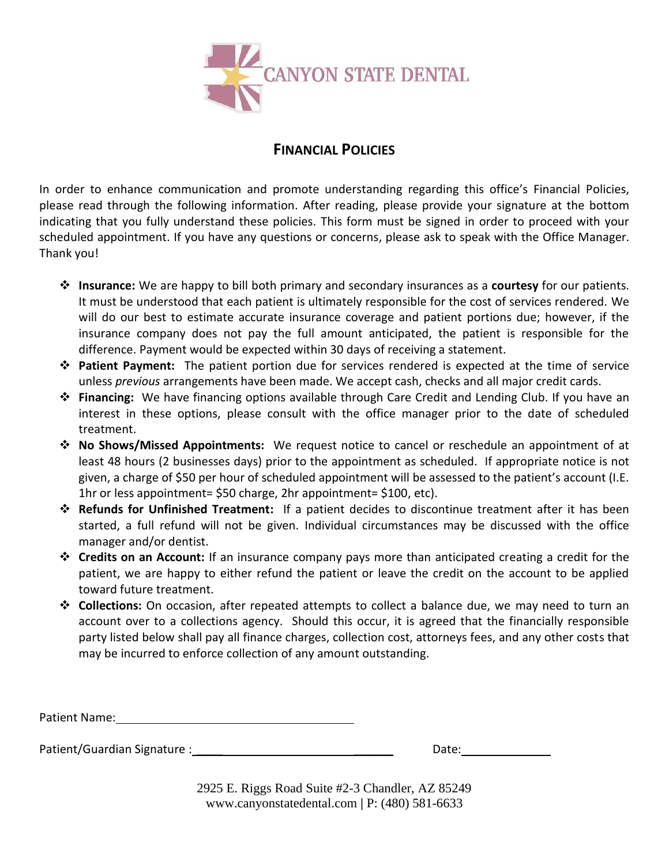

## **FINANCIAL POLICIES**

In order to enhance communication and promote understanding regarding this office's Financial Policies, please read through the following information. After reading, please provide your signature at the bottom indicating that you fully understand these policies. This form must be signed in order to proceed with your scheduled appointment. If you have any questions or concerns, please ask to speak with the Office Manager. Thank you!

- ❖ **Insurance:** We are happy to bill both primary and secondary insurances as a **courtesy** for our patients. It must be understood that each patient is ultimately responsible for the cost of services rendered. We will do our best to estimate accurate insurance coverage and patient portions due; however, if the insurance company does not pay the full amount anticipated, the patient is responsible for the difference. Payment would be expected within 30 days of receiving a statement.
- ❖ **Patient Payment:** The patient portion due for services rendered is expected at the time of service unless *previous* arrangements have been made. We accept cash, checks and all major credit cards.
- ❖ **Financing:** We have financing options available through Care Credit and Lending Club. If you have an interest in these options, please consult with the office manager prior to the date of scheduled treatment.
- ❖ **No Shows/Missed Appointments:** We request notice to cancel or reschedule an appointment of at least 48 hours (2 businesses days) prior to the appointment as scheduled. If appropriate notice is not given, a charge of \$50 per hour of scheduled appointment will be assessed to the patient's account (I.E. 1hr or less appointment= \$50 charge, 2hr appointment= \$100, etc).
- ❖ **Refunds for Unfinished Treatment:** If a patient decides to discontinue treatment after it has been started, a full refund will not be given. Individual circumstances may be discussed with the office manager and/or dentist.
- ❖ **Credits on an Account:** If an insurance company pays more than anticipated creating a credit for the patient, we are happy to either refund the patient or leave the credit on the account to be applied toward future treatment.
- ❖ **Collections:** On occasion, after repeated attempts to collect a balance due, we may need to turn an account over to a collections agency. Should this occur, it is agreed that the financially responsible party listed below shall pay all finance charges, collection cost, attorneys fees, and any other costs that may be incurred to enforce collection of any amount outstanding.

Patient Name:

Patient/Guardian Signature : \_\_\_\_ \_\_\_\_\_\_ Date:

2925 E. Riggs Road Suite #2-3 Chandler, AZ 85249 [www.canyonstatedental.com](http://www.canyonstatedental.com/) **|** P: (480) 581-6633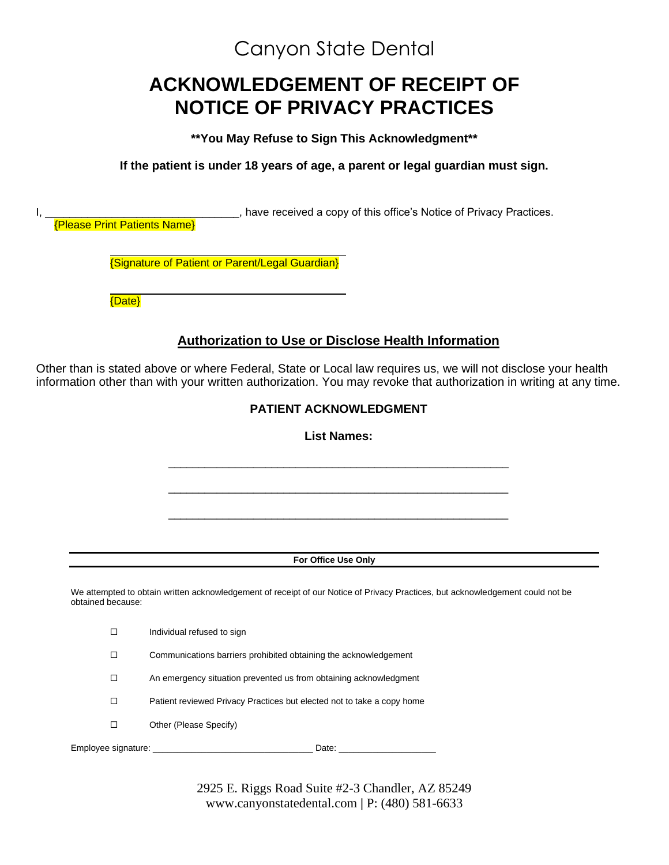## Canyon State Dental

# **ACKNOWLEDGEMENT OF RECEIPT OF NOTICE OF PRIVACY PRACTICES**

**\*\*You May Refuse to Sign This Acknowledgment\*\***

**If the patient is under 18 years of age, a parent or legal guardian must sign.**

|                    | _______, have received a copy of this office's Notice of Privacy Practices.<br><b>{Please Print Patients Name}</b>                                                                                                                 |  |  |
|--------------------|------------------------------------------------------------------------------------------------------------------------------------------------------------------------------------------------------------------------------------|--|--|
|                    | <b>{Signature of Patient or Parent/Legal Guardian}</b>                                                                                                                                                                             |  |  |
| {Date}             |                                                                                                                                                                                                                                    |  |  |
|                    | <b>Authorization to Use or Disclose Health Information</b>                                                                                                                                                                         |  |  |
|                    | Other than is stated above or where Federal, State or Local law requires us, we will not disclose your health<br>information other than with your written authorization. You may revoke that authorization in writing at any time. |  |  |
|                    | PATIENT ACKNOWLEDGMENT                                                                                                                                                                                                             |  |  |
| <b>List Names:</b> |                                                                                                                                                                                                                                    |  |  |
|                    |                                                                                                                                                                                                                                    |  |  |
|                    |                                                                                                                                                                                                                                    |  |  |
|                    |                                                                                                                                                                                                                                    |  |  |
|                    | For Office Use Only                                                                                                                                                                                                                |  |  |
| obtained because:  | We attempted to obtain written acknowledgement of receipt of our Notice of Privacy Practices, but acknowledgement could not be                                                                                                     |  |  |
| $\Box$             | Individual refused to sign                                                                                                                                                                                                         |  |  |
| □                  | Communications barriers prohibited obtaining the acknowledgement                                                                                                                                                                   |  |  |
| □                  | An emergency situation prevented us from obtaining acknowledgment                                                                                                                                                                  |  |  |
| $\Box$             | Patient reviewed Privacy Practices but elected not to take a copy home                                                                                                                                                             |  |  |
| $\Box$             | Other (Please Specify)                                                                                                                                                                                                             |  |  |

2925 E. Riggs Road Suite #2-3 Chandler, AZ 85249 [www.canyonstatedental.com](http://www.canyonstatedental.com/) **|** P: (480) 581-6633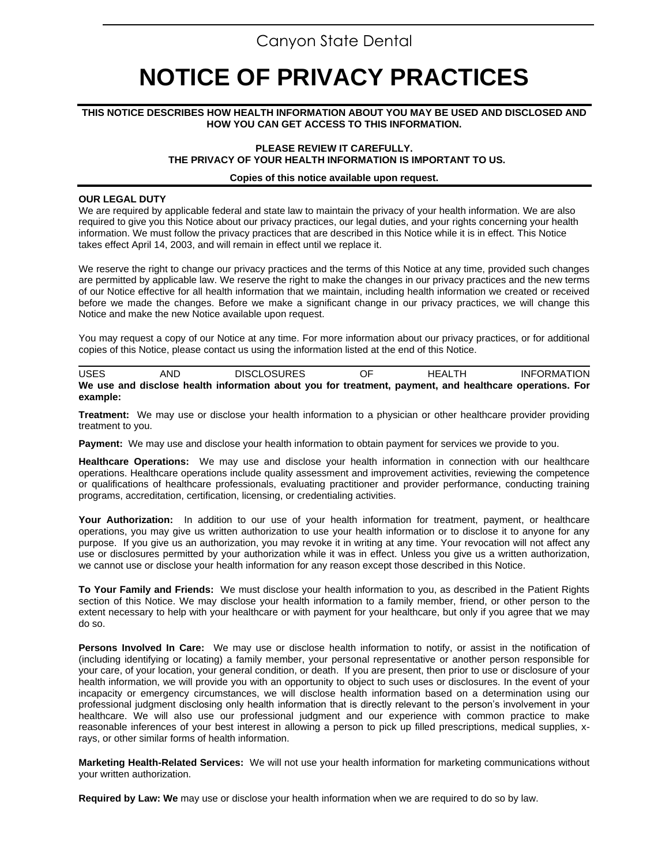## Canyon State Dental

# **NOTICE OF PRIVACY PRACTICES**

#### **THIS NOTICE DESCRIBES HOW HEALTH INFORMATION ABOUT YOU MAY BE USED AND DISCLOSED AND HOW YOU CAN GET ACCESS TO THIS INFORMATION.**

#### **PLEASE REVIEW IT CAREFULLY. THE PRIVACY OF YOUR HEALTH INFORMATION IS IMPORTANT TO US.**

#### **Copies of this notice available upon request.**

#### **OUR LEGAL DUTY**

We are required by applicable federal and state law to maintain the privacy of your health information. We are also required to give you this Notice about our privacy practices, our legal duties, and your rights concerning your health information. We must follow the privacy practices that are described in this Notice while it is in effect. This Notice takes effect April 14, 2003, and will remain in effect until we replace it.

We reserve the right to change our privacy practices and the terms of this Notice at any time, provided such changes are permitted by applicable law. We reserve the right to make the changes in our privacy practices and the new terms of our Notice effective for all health information that we maintain, including health information we created or received before we made the changes. Before we make a significant change in our privacy practices, we will change this Notice and make the new Notice available upon request.

You may request a copy of our Notice at any time. For more information about our privacy practices, or for additional copies of this Notice, please contact us using the information listed at the end of this Notice.

USES AND DISCLOSURES OF HEALTH INFORMATION **We use and disclose health information about you for treatment, payment, and healthcare operations. For example:**

**Treatment:** We may use or disclose your health information to a physician or other healthcare provider providing treatment to you.

**Payment:** We may use and disclose your health information to obtain payment for services we provide to you.

**Healthcare Operations:** We may use and disclose your health information in connection with our healthcare operations. Healthcare operations include quality assessment and improvement activities, reviewing the competence or qualifications of healthcare professionals, evaluating practitioner and provider performance, conducting training programs, accreditation, certification, licensing, or credentialing activities.

**Your Authorization:** In addition to our use of your health information for treatment, payment, or healthcare operations, you may give us written authorization to use your health information or to disclose it to anyone for any purpose. If you give us an authorization, you may revoke it in writing at any time. Your revocation will not affect any use or disclosures permitted by your authorization while it was in effect. Unless you give us a written authorization, we cannot use or disclose your health information for any reason except those described in this Notice.

**To Your Family and Friends:** We must disclose your health information to you, as described in the Patient Rights section of this Notice. We may disclose your health information to a family member, friend, or other person to the extent necessary to help with your healthcare or with payment for your healthcare, but only if you agree that we may do so.

**Persons Involved In Care:** We may use or disclose health information to notify, or assist in the notification of (including identifying or locating) a family member, your personal representative or another person responsible for your care, of your location, your general condition, or death. If you are present, then prior to use or disclosure of your health information, we will provide you with an opportunity to object to such uses or disclosures. In the event of your incapacity or emergency circumstances, we will disclose health information based on a determination using our professional judgment disclosing only health information that is directly relevant to the person's involvement in your healthcare. We will also use our professional judgment and our experience with common practice to make reasonable inferences of your best interest in allowing a person to pick up filled prescriptions, medical supplies, xrays, or other similar forms of health information.

**Marketing Health-Related Services:** We will not use your health information for marketing communications without your written authorization.

**Required by Law: We** may use or disclose your health information when we are required to do so by law.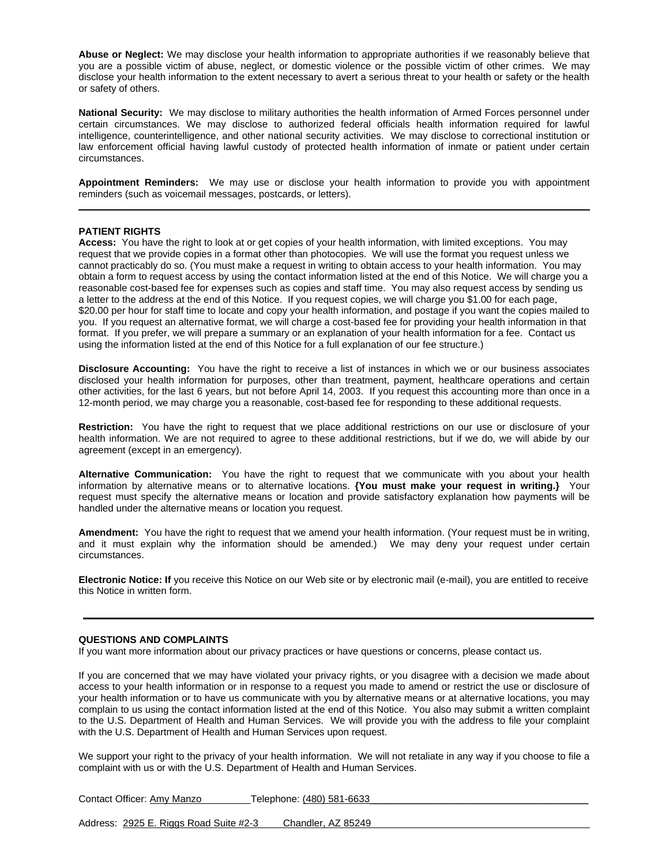**Abuse or Neglect:** We may disclose your health information to appropriate authorities if we reasonably believe that you are a possible victim of abuse, neglect, or domestic violence or the possible victim of other crimes. We may disclose your health information to the extent necessary to avert a serious threat to your health or safety or the health or safety of others.

**National Security:** We may disclose to military authorities the health information of Armed Forces personnel under certain circumstances. We may disclose to authorized federal officials health information required for lawful intelligence, counterintelligence, and other national security activities. We may disclose to correctional institution or law enforcement official having lawful custody of protected health information of inmate or patient under certain circumstances.

**Appointment Reminders:** We may use or disclose your health information to provide you with appointment reminders (such as voicemail messages, postcards, or letters).

#### **PATIENT RIGHTS**

**Access:** You have the right to look at or get copies of your health information, with limited exceptions. You may request that we provide copies in a format other than photocopies. We will use the format you request unless we cannot practicably do so. (You must make a request in writing to obtain access to your health information. You may obtain a form to request access by using the contact information listed at the end of this Notice. We will charge you a reasonable cost-based fee for expenses such as copies and staff time. You may also request access by sending us a letter to the address at the end of this Notice. If you request copies, we will charge you \$1.00 for each page, \$20.00 per hour for staff time to locate and copy your health information, and postage if you want the copies mailed to you. If you request an alternative format, we will charge a cost-based fee for providing your health information in that format. If you prefer, we will prepare a summary or an explanation of your health information for a fee. Contact us using the information listed at the end of this Notice for a full explanation of our fee structure.)

**Disclosure Accounting:** You have the right to receive a list of instances in which we or our business associates disclosed your health information for purposes, other than treatment, payment, healthcare operations and certain other activities, for the last 6 years, but not before April 14, 2003.If you request this accounting more than once in a 12-month period, we may charge you a reasonable, cost-based fee for responding to these additional requests.

**Restriction:** You have the right to request that we place additional restrictions on our use or disclosure of your health information. We are not required to agree to these additional restrictions, but if we do, we will abide by our agreement (except in an emergency).

**Alternative Communication:** You have the right to request that we communicate with you about your health information by alternative means or to alternative locations. **{You must make your request in writing.}** Your request must specify the alternative means or location and provide satisfactory explanation how payments will be handled under the alternative means or location you request.

**Amendment:** You have the right to request that we amend your health information. (Your request must be in writing, and it must explain why the information should be amended.) We may deny your request under certain circumstances.

**Electronic Notice: If** you receive this Notice on our Web site or by electronic mail (e-mail), you are entitled to receive this Notice in written form.

#### **QUESTIONS AND COMPLAINTS**

If you want more information about our privacy practices or have questions or concerns, please contact us.

If you are concerned that we may have violated your privacy rights, or you disagree with a decision we made about access to your health information or in response to a request you made to amend or restrict the use or disclosure of your health information or to have us communicate with you by alternative means or at alternative locations, you may complain to us using the contact information listed at the end of this Notice. You also may submit a written complaint to the U.S. Department of Health and Human Services. We will provide you with the address to file your complaint with the U.S. Department of Health and Human Services upon request.

We support your right to the privacy of your health information. We will not retaliate in any way if you choose to file a complaint with us or with the U.S. Department of Health and Human Services.

Contact Officer: Amy Manzo Telephone: (480) 581-6633

Address: 2925 E. Riggs Road Suite #2-3 Chandler, AZ 85249